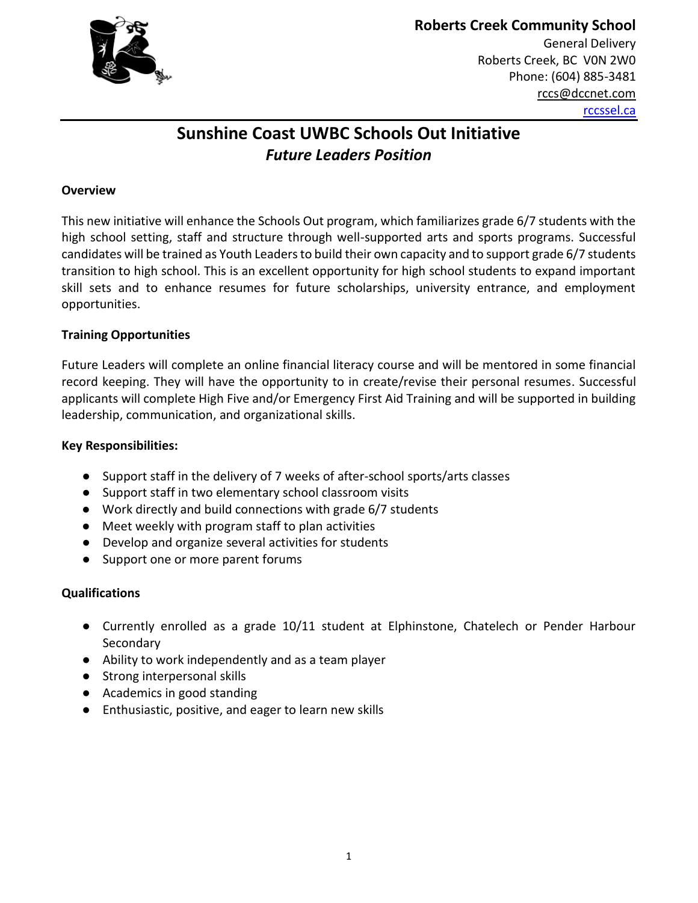

# **Roberts Creek Community School**

General Delivery Roberts Creek, BC V0N 2W0 Phone: (604) 885-3481 rccs@dccnet.com rccssel.ca

## **Sunshine Coast UWBC Schools Out Initiative** *Future Leaders Position*

#### **Overview**

This new initiative will enhance the Schools Out program, which familiarizes grade 6/7 students with the high school setting, staff and structure through well-supported arts and sports programs. Successful candidates will be trained as Youth Leaders to build their own capacity and to support grade 6/7 students transition to high school. This is an excellent opportunity for high school students to expand important skill sets and to enhance resumes for future scholarships, university entrance, and employment opportunities.

#### **Training Opportunities**

Future Leaders will complete an online financial literacy course and will be mentored in some financial record keeping. They will have the opportunity to in create/revise their personal resumes. Successful applicants will complete High Five and/or Emergency First Aid Training and will be supported in building leadership, communication, and organizational skills.

#### **Key Responsibilities:**

- Support staff in the delivery of 7 weeks of after-school sports/arts classes
- Support staff in two elementary school classroom visits
- Work directly and build connections with grade 6/7 students
- Meet weekly with program staff to plan activities
- Develop and organize several activities for students
- Support one or more parent forums

#### **Qualifications**

- Currently enrolled as a grade 10/11 student at Elphinstone, Chatelech or Pender Harbour **Secondary**
- Ability to work independently and as a team player
- Strong interpersonal skills
- Academics in good standing
- Enthusiastic, positive, and eager to learn new skills